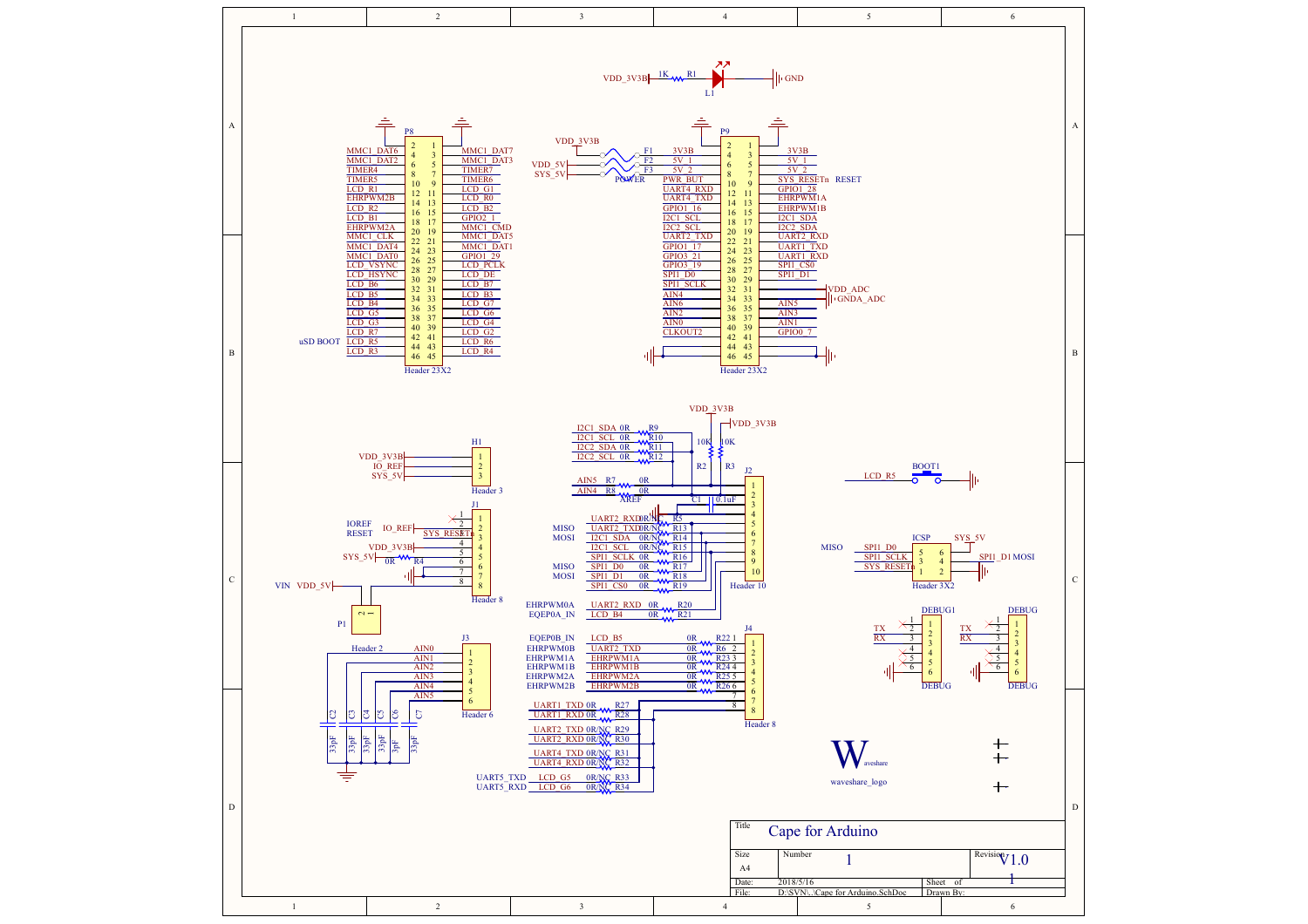